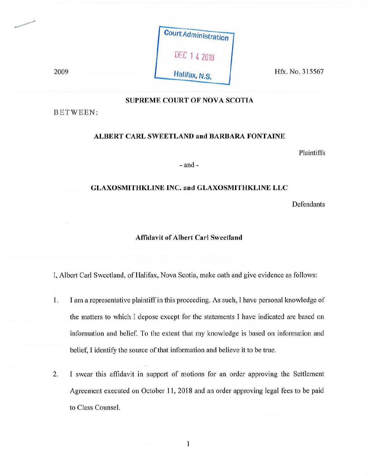| <b>Court Administration</b> |  |
|-----------------------------|--|
| DEC 1 4 2018                |  |
| Halifax, N.S.               |  |

Hfx. No. 315567

# **SUPREME COURT OF NOVA SCOTIA**

BETWEEN:

2009

# **ALBERT CARL SWEETLAND and BARBARA FONTAINE**

Plaintiffs

- and-

### **GLAXOSMITHKLINE INC. and GLAXOSMITHKLINE LLC**

Defendants

#### **Affidavit of Albert Carl Sweetland**

I, Albert Carl Sweetland, of Halifax, Nova Scotia, make oath and give evidence as follows:

- 1. I am a representative plaintiff in this proceeding. As such, I have personal knowledge of the matters to which I depose except for the statements I have indicated are based on information and belief. To the extent that my knowledge is based on information and belief, I identify the source of that information and believe it to be true.
- 2. I swear this affidavit in support of motions for an order approving the Settlement Agreement executed on October 11, 2018 and an order approving legal fees to be paid to Class Counsel.

1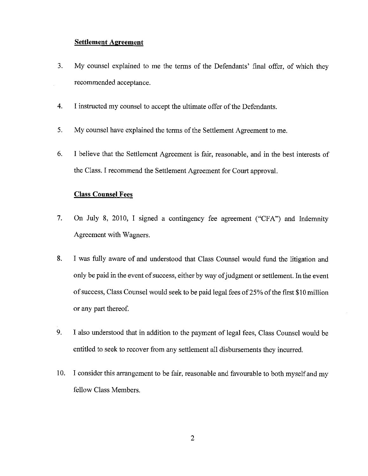#### **Settlement Agreement**

- 3. My counsel explained to me the terms of the Defendants' final offer, of which they recommended acceptance.
- 4. I instructed my counsel to accept the ultimate offer of the Defendants.
- 5. My counsel have explained the terms of the Settlement Agreement to me.
- 6. I believe that the Settlement Agreement is fair, reasonable, and in the best interests of the Class. I recommend the Settlement Agreement for Court approval.

# **Class Counsel Fees**

- 7. On July 8, 2010, I signed a contingency fee agreement ("CFA") and Indemnity Agreement with Wagners.
- 8. I was fully aware of and understood that Class Counsel would fund the litigation and only be paid in the event of success, either by way of judgment or settlement. In the event of success, Class Counsel would seek to be paid legal fees of25% of the first \$10 million or any part thereof.
- 9. I also understood that in addition to the payment of legal fees, Class Counsel would be entitled to seek to recover from any settlement all disbursements they incurred.
- 10. I consider this arrangement to be fair, reasonable and favourable to both myself and my fellow Class Members.